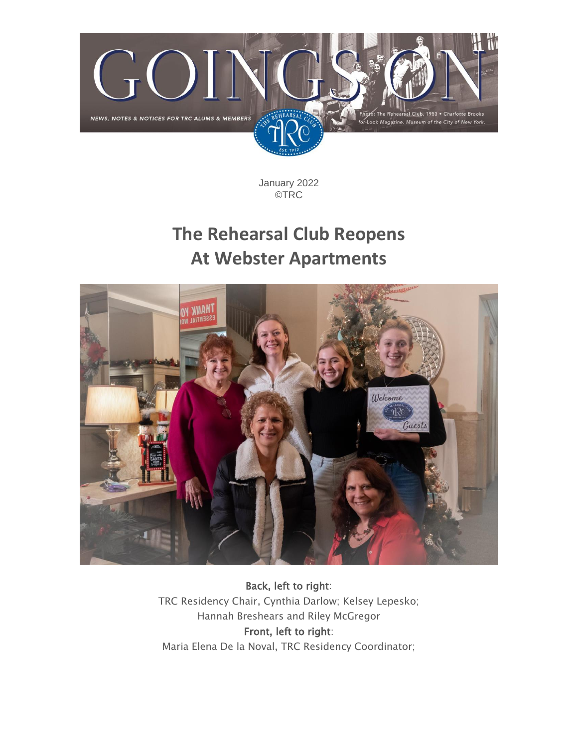

January 2022 ©TRC

### **The Rehearsal Club Reopens At Webster Apartments**



Back, left to right: TRC Residency Chair, Cynthia Darlow; Kelsey Lepesko; Hannah Breshears and Riley McGregor Front, left to right: Maria Elena De la Noval, TRC Residency Coordinator;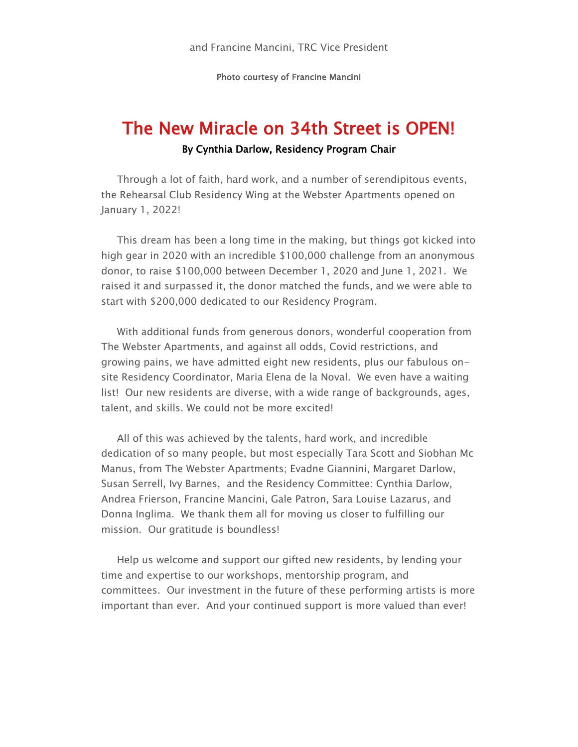Photo courtesy of Francine Mancini

# The New Miracle on 34th Street is OPEN!

#### By Cynthia Darlow, Residency Program Chair

Through a lot of faith, hard work, and a number of serendipitous events, the Rehearsal Club Residency Wing at the Webster Apartments opened on January 1, 2022!

This dream has been a long time in the making, but things got kicked into high gear in 2020 with an incredible \$100,000 challenge from an anonymous donor, to raise \$100,000 between December 1, 2020 and June 1, 2021. We raised it and surpassed it, the donor matched the funds, and we were able to start with \$200,000 dedicated to our Residency Program.

With additional funds from generous donors, wonderful cooperation from The Webster Apartments, and against all odds, Covid restrictions, and growing pains, we have admitted eight new residents, plus our fabulous onsite Residency Coordinator, Maria Elena de la Noval. We even have a waiting list! Our new residents are diverse, with a wide range of backgrounds, ages, talent, and skills. We could not be more excited!

All of this was achieved by the talents, hard work, and incredible dedication of so many people, but most especially Tara Scott and Siobhan Mc Manus, from The Webster Apartments; Evadne Giannini, Margaret Darlow, Susan Serrell, Ivy Barnes, and the Residency Committee: Cynthia Darlow, Andrea Frierson, Francine Mancini, Gale Patron, Sara Louise Lazarus, and Donna Inglima. We thank them all for moving us closer to fulfilling our mission. Our gratitude is boundless!

Help us welcome and support our gifted new residents, by lending your time and expertise to our workshops, mentorship program, and committees. Our investment in the future of these performing artists is more important than ever. And your continued support is more valued than ever!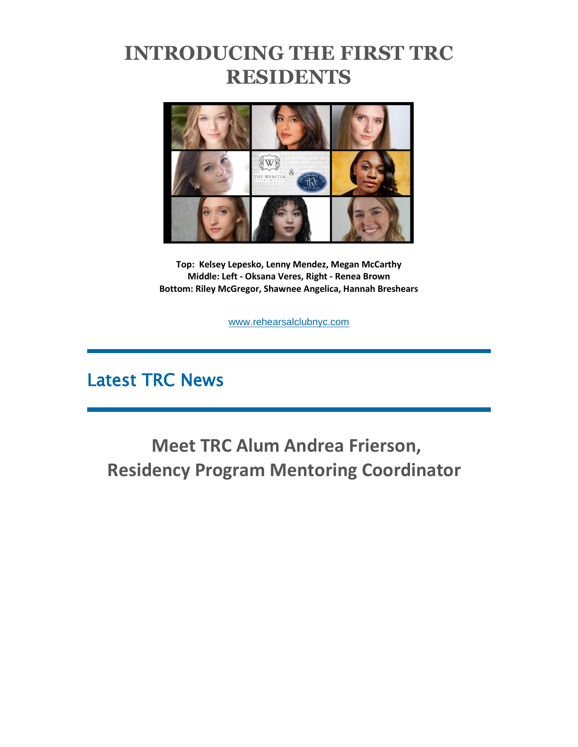### **INTRODUCING THE FIRST TRC RESIDENTS**



**Top: Kelsey Lepesko, Lenny Mendez, Megan McCarthy Middle: Left - Oksana Veres, Right - Renea Brown Bottom: Riley McGregor, Shawnee Angelica, Hannah Breshears**

[www.rehearsalclubnyc.com](http://em.networkforgood.com/ls/click?upn=d9K6ASy0zzX96vUyeY2s4NbX7GC-2B-2BQrvMkId8Tobla-2FvkTqIGb6BP464szxIK4hEmYSx_mVgFLr7YN-2FKDVqGhILtkQY9fXF2OyRftV4uiTXV7NCFmx397hqVIaghoWdDojcNgYdy2KGybokLNoUUg85iuaSxcVX2pSmEd1-2F43k7AQRSAqexcUULY2R-2BZLrKH79t4upge7Z8qcP-2B-2FHZD7oJyHloBO9v1JPY8hcIBLv1TJKT2RFezWpMxZ-2FcDfeZeCO9EDrS-2F-2BH7UihWuBj4liWS56qHDhaB9QUfxw6fXjj-2Fk-2FMyDBUWcdgmMMmvs9lyWhdwKS7QOSI8Qn41lUaqd7j0YGiK1ub9sz778VsMpnLKtHPClOtGBSYG0H8V8WvsU2KTEmrlwle-2F4zNQ0gQcjYmQxei3Pspth2zlTkMVI3ZPgco-2BiQ-3D)

### Latest TRC News

**Meet TRC Alum Andrea Frierson, Residency Program Mentoring Coordinator**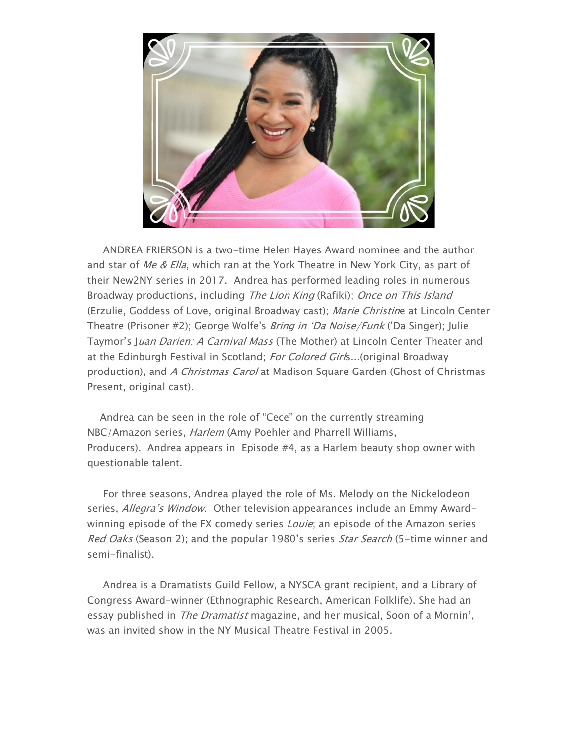

ANDREA FRIERSON is a two-time Helen Hayes Award nominee and the author and star of Me & Ella, which ran at the York Theatre in New York City, as part of their New2NY series in 2017. Andrea has performed leading roles in numerous Broadway productions, including The Lion King (Rafiki); Once on This Island (Erzulie, Goddess of Love, original Broadway cast); Marie Christine at Lincoln Center Theatre (Prisoner #2); George Wolfe's Bring in 'Da Noise/Funk ('Da Singer); Julie Taymor's Juan Darien: A Carnival Mass (The Mother) at Lincoln Center Theater and at the Edinburgh Festival in Scotland; For Colored Girls...(original Broadway production), and A Christmas Carol at Madison Square Garden (Ghost of Christmas Present, original cast).

Andrea can be seen in the role of "Cece" on the currently streaming NBC/Amazon series, *Harlem* (Amy Poehler and Pharrell Williams, Producers). Andrea appears in Episode #4, as a Harlem beauty shop owner with questionable talent.

For three seasons, Andrea played the role of Ms. Melody on the Nickelodeon series, Allegra's Window. Other television appearances include an Emmy Awardwinning episode of the FX comedy series Louie; an episode of the Amazon series Red Oaks (Season 2); and the popular 1980's series Star Search (5-time winner and semi-finalist).

Andrea is a Dramatists Guild Fellow, a NYSCA grant recipient, and a Library of Congress Award-winner (Ethnographic Research, American Folklife). She had an essay published in *The Dramatist* magazine, and her musical, Soon of a Mornin', was an invited show in the NY Musical Theatre Festival in 2005.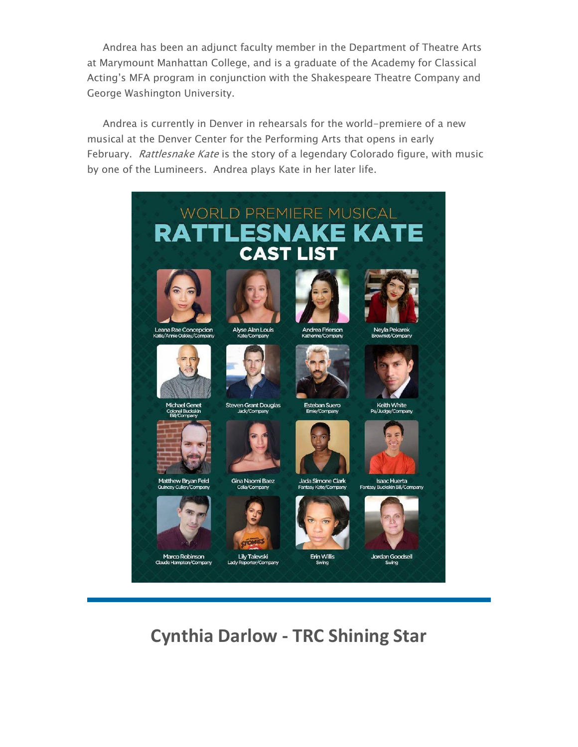Andrea has been an adjunct faculty member in the Department of Theatre Arts at Marymount Manhattan College, and is a graduate of the Academy for Classical Acting's MFA program in conjunction with the Shakespeare Theatre Company and George Washington University.

Andrea is currently in Denver in rehearsals for the world-premiere of a new musical at the Denver Center for the Performing Arts that opens in early February. Rattlesnake Kate is the story of a legendary Colorado figure, with music by one of the Lumineers. Andrea plays Kate in her later life.



**Cynthia Darlow - TRC Shining Star**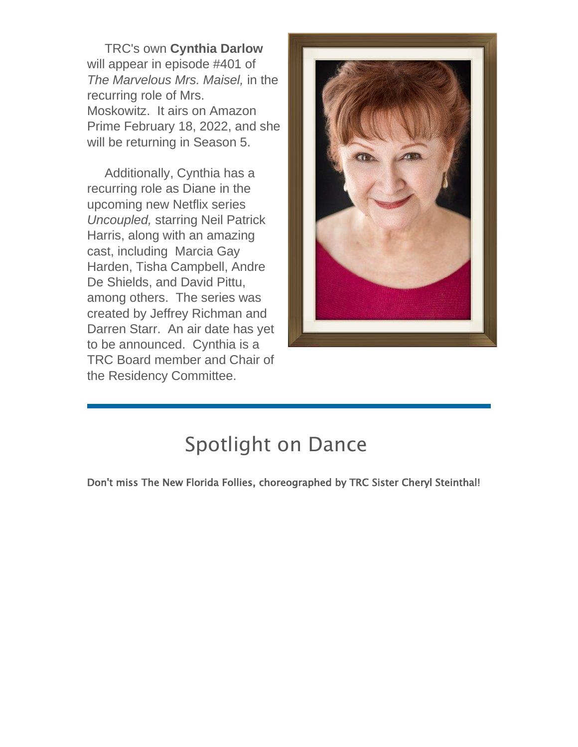TRC's own **Cynthia Darlow** will appear in episode #401 of *The Marvelous Mrs. Maisel,* in the recurring role of Mrs. Moskowitz. It airs on Amazon Prime February 18, 2022, and she will be returning in Season 5.

Additionally, Cynthia has a recurring role as Diane in the upcoming new Netflix series *Uncoupled,* starring Neil Patrick Harris, along with an amazing cast, including Marcia Gay Harden, Tisha Campbell, Andre De Shields, and David Pittu, among others. The series was created by Jeffrey Richman and Darren Starr. An air date has yet to be announced. Cynthia is a TRC Board member and Chair of the Residency Committee.



## Spotlight on Dance

Don't miss The New Florida Follies, choreographed by TRC Sister Cheryl Steinthal!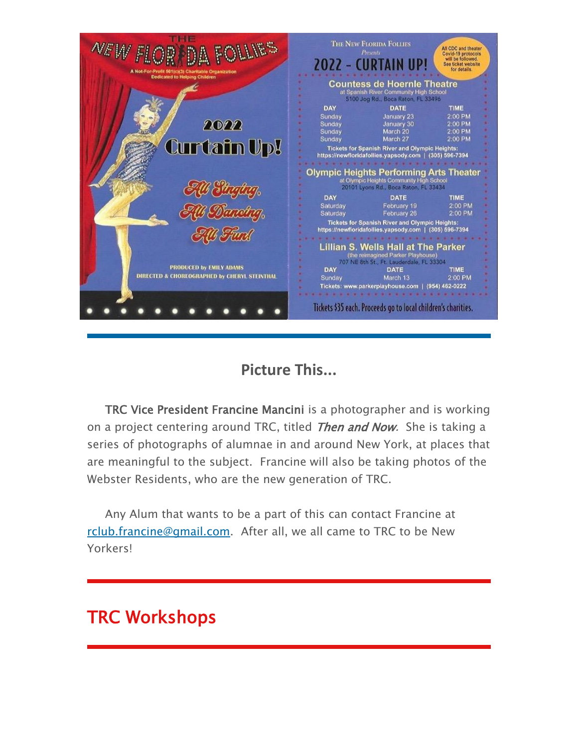

### **Picture This...**

TRC Vice President Francine Mancini is a photographer and is working on a project centering around TRC, titled *Then and Now*. She is taking a series of photographs of alumnae in and around New York, at places that are meaningful to the subject. Francine will also be taking photos of the Webster Residents, who are the new generation of TRC.

Any Alum that wants to be a part of this can contact Francine at [rclub.francine@gmail.com.](mailto:rclub.francine@gmail.com) After all, we all came to TRC to be New Yorkers!

### TRC Workshops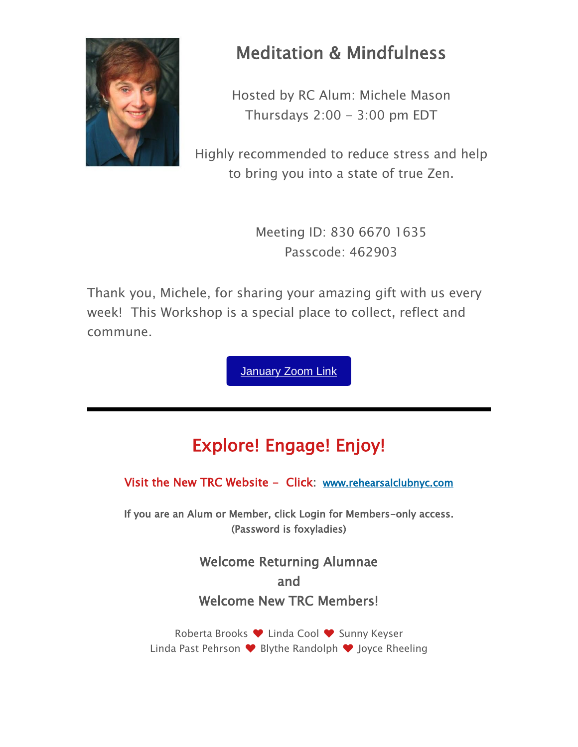

### Meditation & Mindfulness

Hosted by RC Alum: Michele Mason Thursdays  $2:00 - 3:00$  pm EDT

Highly recommended to reduce stress and help to bring you into a state of true Zen.

> Meeting ID: 830 6670 1635 Passcode: 462903

Thank you, Michele, for sharing your amazing gift with us every week! This Workshop is a special place to collect, reflect and commune.

**[January](https://us02web.zoom.us/j/83066701635?pwd=NG9WaDZsRmhOOU5BN1cwQ2VzYXAyQT09) Zoom Link** 

### Explore! Engage! Enjoy!

Visit the New TRC Website - Click: [www.rehearsalclubnyc.com](http://em.networkforgood.com/ls/click?upn=d9K6ASy0zzX96vUyeY2s4NbX7GC-2B-2BQrvMkId8Tobla-2FvkTqIGb6BP464szxIK4hEhCGS_mVgFLr7YN-2FKDVqGhILtkQY9fXF2OyRftV4uiTXV7NCFmx397hqVIaghoWdDojcNgYdy2KGybokLNoUUg85iuaSxcVX2pSmEd1-2F43k7AQRSAqexcUULY2R-2BZLrKH79t4upge7Z8qcP-2B-2FHZD7oJyHloBO9v1JPY8hcIBLv1TJKT2TS5T75w2-2F62nWfAcUGL07eQf7JqkQ-2F25zWIGGfei9yWPrF96aMoXlBqegr6GzKHUiWSe657HhNgHXjymSNphUAVhM3FTL-2Bfi2eBwb3QPCRSDtnPlM8frwJZ-2Fg2FuxFt21IxFqJNtgO86LVQSOcgYWMwQ-2B0IzmFWk2JKCXzgXQT1UCBhcTYHkFqNIVswyXJn0Y-3D)

If you are an Alum or Member, click Login for Members-only access. (Password is foxyladies)

> Welcome Returning Alumnae and Welcome New TRC Members!

Roberta Brooks ♥ Linda Cool ♥ Sunny Keyser Linda Past Pehrson ♥ Blythe Randolph ♥ Joyce Rheeling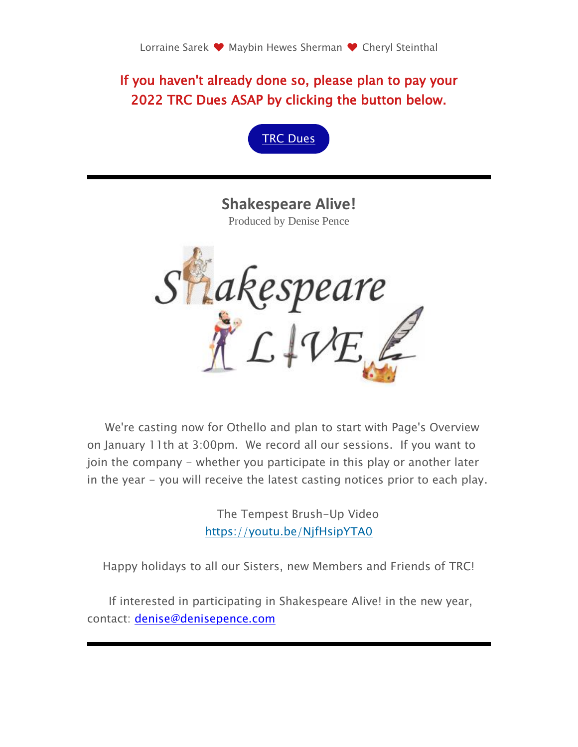If you haven't already done so, please plan to pay your 2022 TRC Dues ASAP by clicking the button below.



**Shakespeare Alive!** Produced by Denise Pence



We're casting now for Othello and plan to start with Page's Overview on January 11th at 3:00pm. We record all our sessions. If you want to join the company - whether you participate in this play or another later in the year - you will receive the latest casting notices prior to each play.

> The Tempest Brush-Up Video [https://youtu.be/NjfHsipYTA0](http://em.networkforgood.com/ls/click?upn=VAGGw4zHikj3d-2F5242H3ZtX-2B2sdwGtDOLU69JoOFVX5uw4i4Ka5puS-2BmMjTpV4Sa01Wn_mVgFLr7YN-2FKDVqGhILtkQY9fXF2OyRftV4uiTXV7NCFmx397hqVIaghoWdDojcNgYdy2KGybokLNoUUg85iuaSxcVX2pSmEd1-2F43k7AQRSAqexcUULY2R-2BZLrKH79t4upge7Z8qcP-2B-2FHZD7oJyHloBO9v1JPY8hcIBLv1TJKT2QR1y0MrxmTBOk8DFp-2FFpVwxUThn9un7himy8ruw9mel67hDcdQsVWslVRxVQfJlQslcNh4uWvbvDSRMhQb2O3ZbweaO1kHG10mtstZJOmAwh6XSrZRK2E64G75k1-2F5vT-2BuVcjwZCcYUIRIssMruW0lwz2MkoZwLKvqgOk00EbY3d5y3g3G-2FzLs-2F4ZyTligvQY-3D)

Happy holidays to all our Sisters, new Members and Friends of TRC!

If interested in participating in Shakespeare Alive! in the new year, contact: [denise@denisepence.com](mailto:denise@denisepence.com)